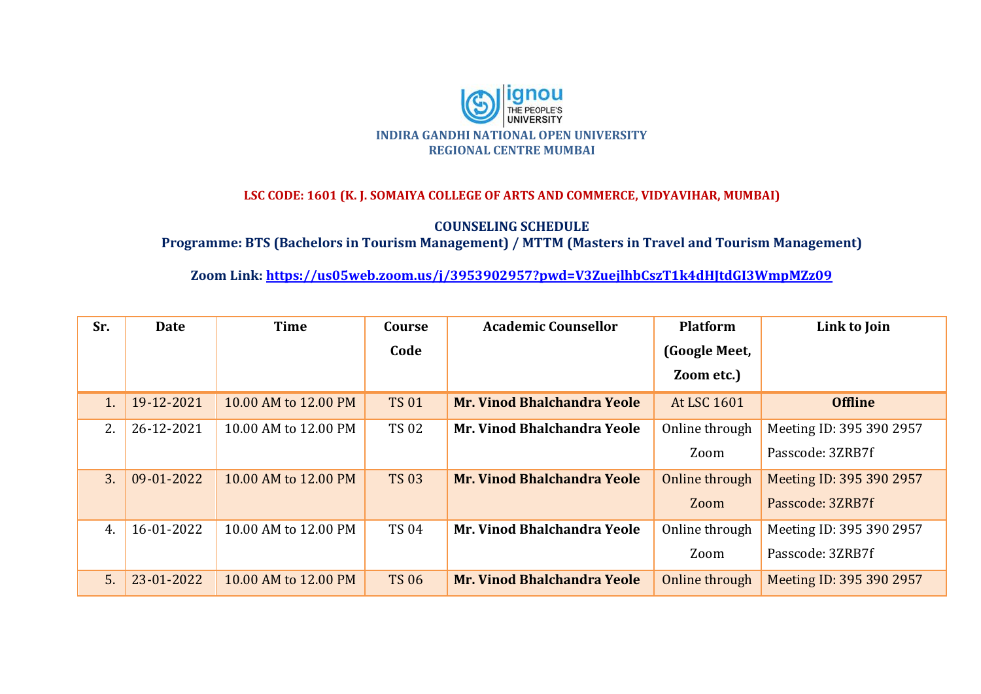

## **LSC CODE: 1601 (K. J. SOMAIYA COLLEGE OF ARTS AND COMMERCE, VIDYAVIHAR, MUMBAI)**

**COUNSELING SCHEDULE**

**Programme: BTS (Bachelors in Tourism Management) / MTTM (Masters in Travel and Tourism Management)**

**Zoom Link:<https://us05web.zoom.us/j/3953902957?pwd=V3ZuejlhbCszT1k4dHJtdGI3WmpMZz09>**

| Sr.            | <b>Date</b> | <b>Time</b>          | Course       | <b>Academic Counsellor</b>         | <b>Platform</b> | Link to Join             |
|----------------|-------------|----------------------|--------------|------------------------------------|-----------------|--------------------------|
|                |             |                      | Code         |                                    | (Google Meet,   |                          |
|                |             |                      |              |                                    | Zoom etc.)      |                          |
| 1 <sub>1</sub> | 19-12-2021  | 10.00 AM to 12.00 PM | <b>TS 01</b> | <b>Mr. Vinod Bhalchandra Yeole</b> | At LSC 1601     | <b>Offline</b>           |
| 2.             | 26-12-2021  | 10.00 AM to 12.00 PM | <b>TS 02</b> | Mr. Vinod Bhalchandra Yeole        | Online through  | Meeting ID: 395 390 2957 |
|                |             |                      |              |                                    | Zoom            | Passcode: 3ZRB7f         |
| 3.             | 09-01-2022  | 10.00 AM to 12.00 PM | <b>TS 03</b> | <b>Mr. Vinod Bhalchandra Yeole</b> | Online through  | Meeting ID: 395 390 2957 |
|                |             |                      |              |                                    | Zoom            | Passcode: 3ZRB7f         |
| 4.             | 16-01-2022  | 10.00 AM to 12.00 PM | <b>TS 04</b> | Mr. Vinod Bhalchandra Yeole        | Online through  | Meeting ID: 395 390 2957 |
|                |             |                      |              |                                    | Zoom            | Passcode: 3ZRB7f         |
| 5.             | 23-01-2022  | 10.00 AM to 12.00 PM | <b>TS 06</b> | <b>Mr. Vinod Bhalchandra Yeole</b> | Online through  | Meeting ID: 395 390 2957 |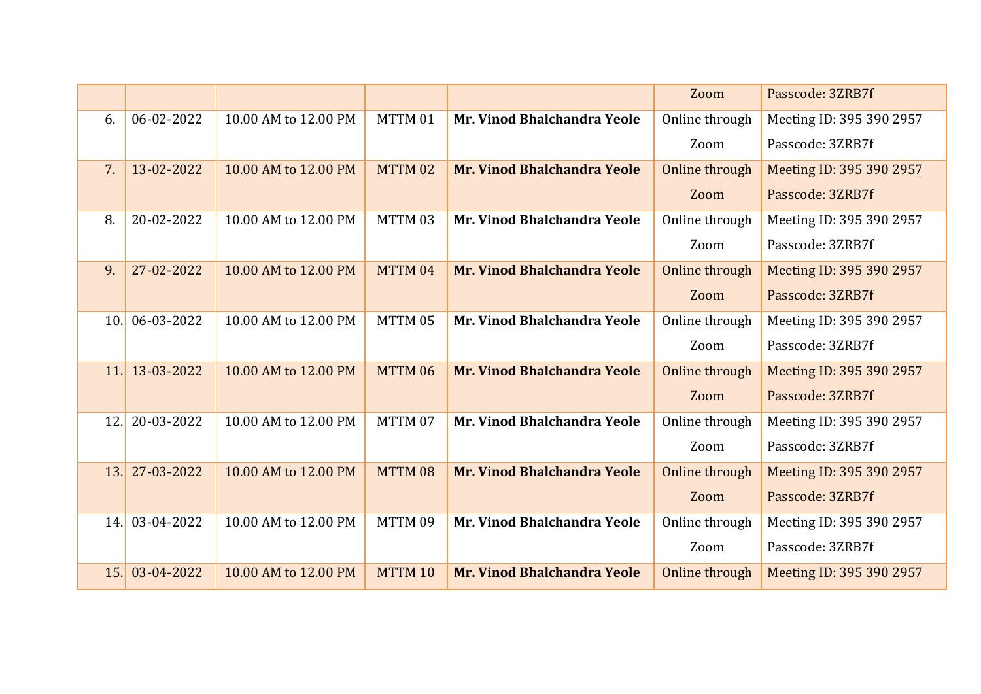|     |                |                      |         |                             | Zoom           | Passcode: 3ZRB7f         |
|-----|----------------|----------------------|---------|-----------------------------|----------------|--------------------------|
| 6.  | 06-02-2022     | 10.00 AM to 12.00 PM | MTTM 01 | Mr. Vinod Bhalchandra Yeole | Online through | Meeting ID: 395 390 2957 |
|     |                |                      |         |                             | Zoom           | Passcode: 3ZRB7f         |
| 7.  | 13-02-2022     | 10.00 AM to 12.00 PM | MTTM 02 | Mr. Vinod Bhalchandra Yeole | Online through | Meeting ID: 395 390 2957 |
|     |                |                      |         |                             | Zoom           | Passcode: 3ZRB7f         |
| 8.  | 20-02-2022     | 10.00 AM to 12.00 PM | MTTM 03 | Mr. Vinod Bhalchandra Yeole | Online through | Meeting ID: 395 390 2957 |
|     |                |                      |         |                             | Zoom           | Passcode: 3ZRB7f         |
| 9.  | 27-02-2022     | 10.00 AM to 12.00 PM | MTTM 04 | Mr. Vinod Bhalchandra Yeole | Online through | Meeting ID: 395 390 2957 |
|     |                |                      |         |                             | Zoom           | Passcode: 3ZRB7f         |
| 10. | 06-03-2022     | 10.00 AM to 12.00 PM | MTTM 05 | Mr. Vinod Bhalchandra Yeole | Online through | Meeting ID: 395 390 2957 |
|     |                |                      |         |                             | Zoom           | Passcode: 3ZRB7f         |
| 11. | 13-03-2022     | 10.00 AM to 12.00 PM | MTTM 06 | Mr. Vinod Bhalchandra Yeole | Online through | Meeting ID: 395 390 2957 |
|     |                |                      |         |                             | Zoom           | Passcode: 3ZRB7f         |
| 12. | 20-03-2022     | 10.00 AM to 12.00 PM | MTTM 07 | Mr. Vinod Bhalchandra Yeole | Online through | Meeting ID: 395 390 2957 |
|     |                |                      |         |                             | Zoom           | Passcode: 3ZRB7f         |
|     | 13. 27-03-2022 | 10.00 AM to 12.00 PM | MTTM 08 | Mr. Vinod Bhalchandra Yeole | Online through | Meeting ID: 395 390 2957 |
|     |                |                      |         |                             | Zoom           | Passcode: 3ZRB7f         |
|     | 14. 03-04-2022 | 10.00 AM to 12.00 PM | MTTM 09 | Mr. Vinod Bhalchandra Yeole | Online through | Meeting ID: 395 390 2957 |
|     |                |                      |         |                             | Zoom           | Passcode: 3ZRB7f         |
| 15. | 03-04-2022     | 10.00 AM to 12.00 PM | MTTM 10 | Mr. Vinod Bhalchandra Yeole | Online through | Meeting ID: 395 390 2957 |